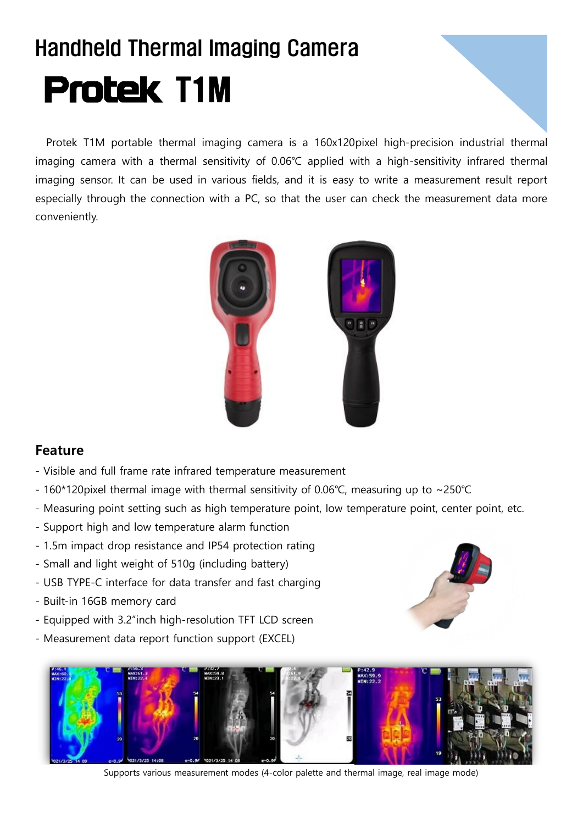## Handheld Thermal Imaging Camera **Protek T1M**

Protek T1M portable thermal imaging camera is a 160x120pixel high-precision industrial thermal imaging camera with a thermal sensitivity of 0.06℃ applied with a high-sensitivity infrared thermal imaging sensor. It can be used in various fields, and it is easy to write a measurement result report especially through the connection with a PC, so that the user can check the measurement data more conveniently.



## **Feature**

- Visible and full frame rate infrared temperature measurement
- 160\*120pixel thermal image with thermal sensitivity of 0.06℃, measuring up to ~250℃
- Measuring point setting such as high temperature point, low temperature point, center point, etc.
- Support high and low temperature alarm function
- 1.5m impact drop resistance and IP54 protection rating
- Small and light weight of 510g (including battery)
- USB TYPE-C interface for data transfer and fast charging
- Built-in 16GB memory card
- Equipped with 3.2"inch high-resolution TFT LCD screen
- Measurement data report function support (EXCEL)





Supports various measurement modes (4-color palette and thermal image, real image mode)